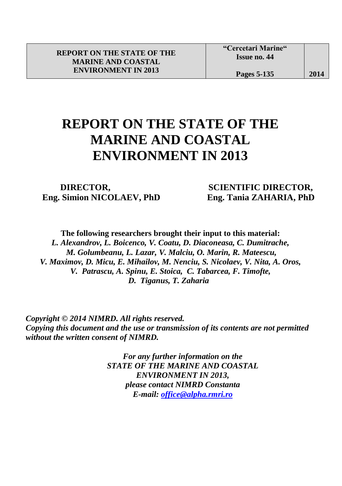## **REPORT ON THE STATE OF THE MARINE AND COASTAL ENVIRONMENT IN 2013**

l

 **Eng. Simion NICOLAEV, PhD Eng. Tania ZAHARIA, PhD**

**DIRECTOR, SCIENTIFIC DIRECTOR,** 

**The following researchers brought their input to this material:** *L. Alexandrov, L. Boicenco, V. Coatu, D. Diaconeasa, C. Dumitrache, M. Golumbeanu, L. Lazar, V. Malciu, O. Marin, R. Mateescu, V. Maximov, D. Micu, E. Mihailov, M. Nenciu, S. Nicolaev, V. Nita, A. Oros, V. V. Patrascu, A. Spinu, E. Stoica, C. Tabarcea, F. Timofte, D. D. Tiganus, T. Zaharia*

 *Copyright © 2014 NIMRD. All rights reserved. Copying this document and the use or transmission of its contents are not permitted without the written consent of NIMRD.*

> *For any further information on the STATE OF THE MARINE AND COASTAL ENVIRONMENT IN 2013, please contact NIMRD Constanta E-mail: [office@alpha.rmri.ro](mailto:office@alpha.rmri.ro)*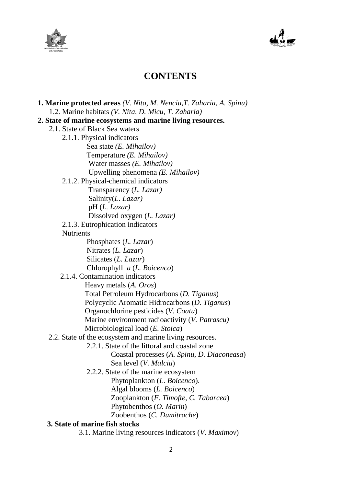



## **CONTENTS**

 **1. Marine protected areas** *(V. Nita, M. Nenciu,T. Zaharia, A. Spinu)* 1.2. Marine habitats *(V. Nita, D. Micu, T. Zaharia)*  **2. State of marine ecosystems and marine living resources.** 2.1. State of Black Sea waters 2.1.1. Physical indicators Sea state *(E. Mihailov)* Temperature *(E. Mihailov)* Water masses *(E. Mihailov)* Upwelling phenomena *(E. Mihailov)* 2.1.2. Physical-chemical indicators Transparency (*L. Lazar)* Salinity(*L. Lazar)* pH (*L. Lazar)* Dissolved oxygen (*L. Lazar)* 2.1.3. Eutrophication indicators **Nutrients**  Phosphates (*L. Lazar*) Nitrates (*L. Lazar*) Silicates (*L. Lazar*) Chlorophyll *a* (*L. Boicenco*) 2.1.4. Contamination indicators Heavy metals (*A. Oros*) Total Petroleum Hydrocarbons (*D. Tiganus*) Polycyclic Aromatic Hidrocarbons (*D. Tiganus*) Organochlorine pesticides (*V. Coatu*) Marine environment radioactivity (*V. Patrascu)* Microbiological load (*E. Stoica*) 2.2. State of the ecosystem and marine living resources. 2.2.1. State of the littoral and coastal zone Coastal processes (*A. Spinu*, *D. Diaconeasa*) Sea level (*V. Malciu*) 2.2.2. State of the marine ecosystem Phytoplankton (*L. Boicenco*). Algal blooms (*L. Boicenco*) Zooplankton (*F. Timofte, C. Tabarcea*) Phytobenthos (*O. Marin*) Zoobenthos (*C. Dumitrache*)  **3. State of marine fish stocks** 3.1. Marine living resources indicators (*V. Maximov*)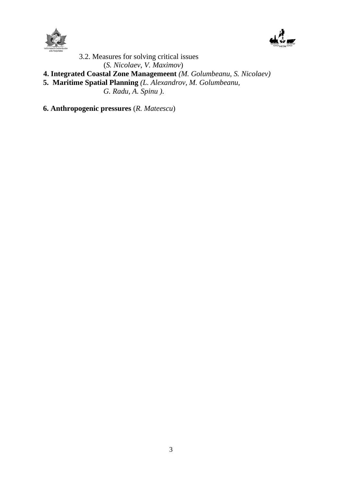



 3.2. Measures for solving critical issues (*S. Nicolaev*, *V. Maximov*)

- **4. Integrated Coastal Zone Managemeent** *(M. Golumbeanu, S. Nicolaev)*
- **5. Maritime Spatial Planning** *(L. Alexandrov, M. Golumbeanu,*

 *G. Radu, A. Spinu )*.

**6. Anthropogenic pressures** (*R. Mateescu*)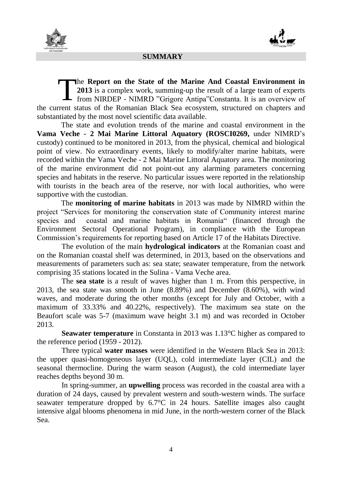



## **SUMMARY**

he **Report on the State of the Marine And Coastal Environment in 2013** is a complex work, summing-up the result of a large team of experts The Report on the State of the Marine And Coastal Environment in 2013 is a complex work, summing-up the result of a large team of experts from NIRDEP - NIMRD "Grigore Antipa"Constanta. It is an overview of the current status of the Romanian Black Sea ecosystem, structured on chapters and substantiated by the most novel scientific data available.

The state and evolution trends of the marine and coastal environment in the **Vama Veche - 2 Mai Marine Littoral Aquatory (ROSCI0269,** under NIMRD's custody) continued to be monitored in 2013, from the physical, chemical and biological point of view. No extraordinary events, likely to modify/alter marine habitats, were recorded within the Vama Veche - 2 Mai Marine Littoral Aquatory area. The monitoring of the marine environment did not point-out any alarming parameters concerning species and habitats in the reserve. No particular issues were reported in the relationship with tourists in the beach area of the reserve, nor with local authorities, who were supportive with the custodian.

The **monitoring of marine habitats** in 2013 was made by NIMRD within the project "Services for monitoring the conservation state of Community interest marine species and coastal and marine habitats in Romania" (financed through the Environment Sectoral Operational Program), in compliance with the European Commission's requirements for reporting based on Article 17 of the Habitats Directive.

The evolution of the main **hydrological indicators** at the Romanian coast and on the Romanian coastal shelf was determined, in 2013, based on the observations and measurements of parameters such as: sea state; seawater temperature, from the network comprising 35 stations located in the Sulina - Vama Veche area.

The **sea state** is a result of waves higher than 1 m. From this perspective, in 2013, the sea state was smooth in June (8.89%) and December (8.60%), with wind waves, and moderate during the other months (except for July and October, with a maximum of 33.33% and 40.22%, respectively). The maximum sea state on the Beaufort scale was 5-7 (maximum wave height 3.1 m) and was recorded in October 2013.

**Seawater temperature** in Constanta in 2013 was 1.13°C higher as compared to the reference period (1959 - 2012).

Three typical **water masses** were identified in the Western Black Sea in 2013: the upper quasi-homogeneous layer (UQL), cold intermediate layer (CIL) and the seasonal thermocline. During the warm season (August), the cold intermediate layer reaches depths beyond 30 m.

In spring-summer, an **upwelling** process was recorded in the coastal area with a duration of 24 days, caused by prevalent western and south-western winds. The surface seawater temperature dropped by 6.7°C in 24 hours. Satellite images also caught intensive algal blooms phenomena in mid June, in the north-western corner of the Black Sea.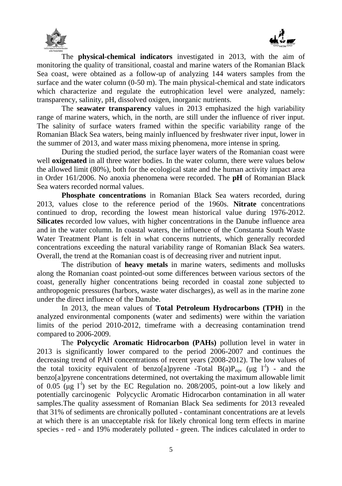



The **physical-chemical indicators** investigated in 2013, with the aim of monitoring the quality of transitional, coastal and marine waters of the Romanian Black Sea coast, were obtained as a follow-up of analyzing 144 waters samples from the surface and the water column (0-50 m). The main physical-chemical and state indicators which characterize and regulate the eutrophication level were analyzed, namely: transparency, salinity, pH, dissolved oxigen, inorganic nutrients.

The **seawater transparency** values in 2013 emphasized the high variability range of marine waters, which, in the north, are still under the influence of river input. The salinity of surface waters framed within the specific variability range of the Romanian Black Sea waters, being mainly influenced by freshwater river input, lower in the summer of 2013, and water mass mixing phenomena, more intense in spring.

During the studied period, the surface layer waters of the Romanian coast were well **oxigenated** in all three water bodies. In the water column, there were values below the allowed limit (80%), both for the ecological state and the human activity impact area in Order 161/2006. No anoxia phenomena were recorded. The **pH** of Romanian Black Sea waters recorded normal values.

**Phosphate concentrations** in Romanian Black Sea waters recorded, during 2013, values close to the reference period of the 1960s. **Nitrate** concentrations continued to drop, recording the lowest mean historical value during 1976-2012. **Silicates** recorded low values, with higher concentrations in the Danube influence area and in the water column. In coastal waters, the influence of the Constanta South Waste Water Treatment Plant is felt in what concerns nutrients, which generally recorded concentrations exceeding the natural variability range of Romanian Black Sea waters. Overall, the trend at the Romanian coast is of decreasing river and nutrient input.

The distribution of **heavy metals** in marine waters, sediments and mollusks along the Romanian coast pointed-out some differences between various sectors of the coast, generally higher concentrations being recorded in coastal zone subjected to anthropogenic pressures (harbors, waste water discharges), as well as in the marine zone under the direct influence of the Danube.

In 2013, the mean values of **Total Petroleum Hydrocarbons (TPH)** in the analyzed environmental components (water and sediments) were within the variation limits of the period 2010-2012, timeframe with a decreasing contamination trend compared to 2006-2009.

The **Polycyclic Aromatic Hidrocarbon (PAHs)** pollution level in water in 2013 is significantly lower compared to the period 2006-2007 and continues the decreasing trend of PAH concentrations of recent years (2008-2012). The low values of the total toxicity equivalent of benzo[a]pyrene -Total  $B(a)P_{eqv}$  ( $\mu g$  l<sup>-1</sup>) - and the benzo[a]pyrene concentrations determined, not overtaking the maximum allowable limit of 0.05 ( $\mu$ g l<sup>-1</sup>) set by the EC Regulation no. 208/2005, point-out a low likely and potentially carcinogenic Polycyclic Aromatic Hidrocarbon contamination in all water samples.The quality assessment of Romanian Black Sea sediments for 2013 revealed that 31% of sediments are chronically polluted - contaminant concentrations are at levels at which there is an unacceptable risk for likely chronical long term effects in marine species - red - and 19% moderately polluted - green. The indices calculated in order to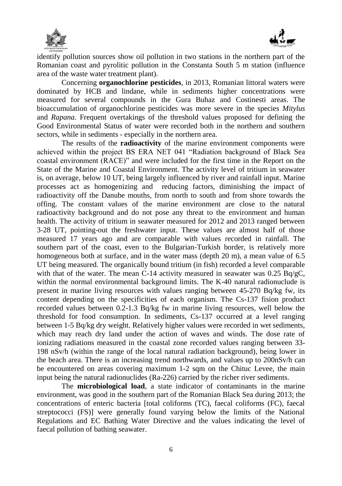



 $\overline{a}$ identify pollution sources show oil pollution in two stations in the northern part of the Romanian coast and pyrolitic pollution in the Constanta South 5 m station (influence area of the waste water treatment plant).

Concerning **organochlorine pesticides**, in 2013, Romanian littoral waters were dominated by HCB and lindane, while in sediments higher concentrations were measured for several compounds in the Gura Buhaz and Costinesti areas. The bioaccumulation of organochlorine pesticides was more severe in the species *Mitylus* and *Rapana*. Frequent overtakings of the threshold values proposed for defining the Good Environmental Status of water were recorded both in the northern and southern sectors, while in sediments - especially in the northern area.

The results of the **radioactivity** of the marine environment components were achieved within the project BS ERA NET 041 "Radiation background of Black Sea coastal environment (RACE)" and were included for the first time in the Report on the State of the Marine and Coastal Environment. The activity level of tritium in seawater is, on average, below 10 UT, being largely influenced by river and rainfall input. Marine processes act as homogenizing and reducing factors, diminishing the impact of radioactivity off the Danube mouths, from north to south and from shore towards the offing. The constant values of the marine environment are close to the natural radioactivity background and do not pose any threat to the environment and human health. The activity of tritium in seawater measured for 2012 and 2013 ranged between 3-28 UT, pointing-out the freshwater input. These values are almost half of those measured 17 years ago and are comparable with values recorded in rainfall. The southern part of the coast, even to the Bulgarian-Turkish border, is relatively more homogeneous both at surface, and in the water mass (depth 20 m), a mean value of 6.5 UT being measured. The organically bound tritium (in fish) recorded a level comparable with that of the water. The mean C-14 activity measured in seawater was  $0.25$  Bq/gC, within the normal environmental background limits. The K-40 natural radionuclude is present in marine living resources with values ranging between 45-270 Bq/kg fw, its content depending on the specificities of each organism. The Cs-137 fision product recorded values between 0.2-1.3 Bq/kg fw in marine living resources, well below the threshold for food consumption. In sediments, Cs-137 occurred at a level ranging between 1-5 Bq/kg dry weight. Relatively higher values were recorded in wet sediments, which may reach dry land under the action of waves and winds. The dose rate of ionizing radiations measured in the coastal zone recorded values ranging between 33- 198 nSv/h (within the range of the local natural radiation background), being lower in the beach area. There is an increasing trend northwards, and values up to 200nSv/h can be encountered on areas covering maximum 1-2 sqm on the Chituc Levee, the main input being the natural radionuclides (Ra-226) carried by the richer river sediments.

The **microbiological load**, a state indicator of contaminants in the marine environment, was good in the southern part of the Romanian Black Sea during 2013; the concentrations of enteric bacteria [total coliforms (TC), faecal coliforms (FC), faecal streptococci (FS)] were generally found varying below the limits of the National Regulations and EC Bathing Water Directive and the values indicating the level of faecal pollution of bathing seawater.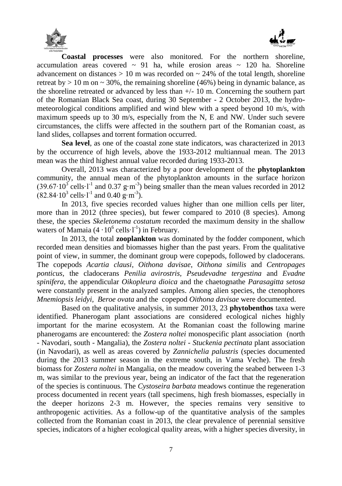



**Coastal processes** were also monitored. For the northern shoreline, accumulation areas covered  $\sim$  91 ha, while erosion areas  $\sim$  120 ha. Shoreline advancement on distances  $> 10$  m was recorded on  $\sim$  24% of the total length, shoreline retreat by  $> 10$  m on  $\sim 30\%$ , the remaining shoreline (46%) being in dynamic balance, as the shoreline retreated or advanced by less than  $+/-10$  m. Concerning the southern part of the Romanian Black Sea coast, during 30 September - 2 October 2013, the hydrometeorological conditions amplified and wind blew with a speed beyond 10 m/s, with maximum speeds up to 30 m/s, especially from the N, E and NW. Under such severe circumstances, the cliffs were affected in the southern part of the Romanian coast, as land slides, collapses and torrent formation occurred.

**Sea level**, as one of the coastal zone state indicators, was characterized in 2013 by the occurrence of high levels, above the 1933-2012 multiannual mean. The 2013 mean was the third highest annual value recorded during 1933-2013.

Overall, 2013 was characterized by a poor development of the **phytoplankton** community, the annual mean of the phytoplankton amounts in the surface horizon  $(39.67 \cdot 10^3 \text{ cells} \cdot \text{l}^{-1}$  and 0.37 g⋅m<sup>-3</sup>) being smaller than the mean values recorded in 2012  $(82.84 \cdot 10^3 \text{ cells} \cdot l^{-1} \text{ and } 0.40 \text{ g} \cdot \text{m}^{-3}).$ 

In 2013, five species recorded values higher than one million cells per liter, more than in 2012 (three species), but fewer compared to 2010 (8 species). Among these, the species *Skeletonema costatum* recorded the maximum density in the shallow waters of Mamaia  $(4 \cdot 10^6 \text{ cells} \cdot l^{-1})$  in February.

In 2013, the total **zooplankton** was dominated by the fodder component, which recorded mean densities and biomasses higher than the past years. From the qualitative point of view, in summer, the dominant group were copepods, followed by cladocerans. The copepods *Acartia clausi*, *Oithona davisae*, *Oithona similis* and *Centropages ponticus*, the cladocerans *Penilia avirostris, Pseudevadne tergestina* and *Evadne spinifera*, the appendicular *Oikopleura dioica* and the chaetognathe *Parasagitta setosa* were constantly present in the analyzed samples. Among alien species, the ctenophores *Mnemiopsis leidyi, Beroe ovata* and the copepod *Oithona davisae* were documented.

Based on the qualitative analysis, in summer 2013, 23 **phytobenthos** taxa were identified. Phanerogam plant associations are considered ecological niches highly important for the marine ecosystem. At the Romanian coast the following marine phanerogams are encountered: the *Zostera noltei* monospecific plant association (north - Navodari, south - Mangalia), the *Zostera noltei - Stuckenia pectinata* plant association (in Navodari), as well as areas covered by *Zannichelia palustris* (species documented during the 2013 summer season in the extreme south, in Vama Veche). The fresh biomass for *Zostera noltei* in Mangalia, on the meadow covering the seabed between 1-3 m, was similar to the previous year, being an indicator of the fact that the regeneration of the species is continuous. The *Cystoseira barbata* meadows continue the regeneration process documented in recent years (tall specimens, high fresh biomasses, especially in the deeper horizons 2-3 m. However, the species remains very sensitive to anthropogenic activities. As a follow-up of the quantitative analysis of the samples collected from the Romanian coast in 2013, the clear prevalence of perennial sensitive species, indicators of a higher ecological quality areas, with a higher species diversity, in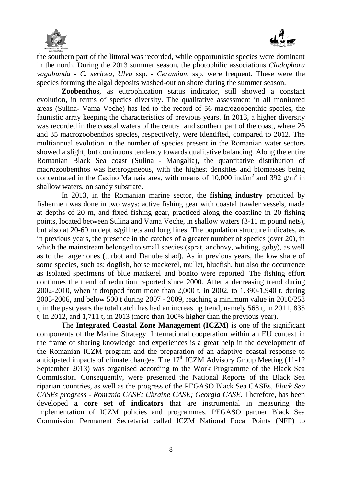



 $\overline{\phantom{a}}$ the southern part of the littoral was recorded, while opportunistic species were dominant in the north. During the 2013 summer season, the photophilic associations *Cladophora vagabunda - C. sericea*, *Ulva* ssp. - *Ceramium* ssp. were frequent. These were the species forming the algal deposits washed-out on shore during the summer season.

**Zoobenthos**, as eutrophication status indicator, still showed a constant evolution, in terms of species diversity. The qualitative assessment in all monitored areas (Sulina- Vama Veche) has led to the record of 56 macrozoobenthic species, the faunistic array keeping the characteristics of previous years. In 2013, a higher diversity was recorded in the coastal waters of the central and southern part of the coast, where 26 and 35 macrozoobenthos species, respectively, were identified, compared to 2012. The multiannual evolution in the number of species present in the Romanian water sectors showed a slight, but continuous tendency towards qualitative balancing. Along the entire Romanian Black Sea coast (Sulina - Mangalia), the quantitative distribution of macrozoobenthos was heterogeneous, with the highest densities and biomasses being concentrated in the Cazino Mamaia area, with means of 10,000 ind/m<sup>2</sup> and 392  $g/m^2$  in shallow waters, on sandy substrate.

In 2013, in the Romanian marine sector, the **fishing industry** practiced by fishermen was done in two ways: active fishing gear with coastal trawler vessels, made at depths of 20 m, and fixed fishing gear, practiced along the coastline in 20 fishing points, located between Sulina and Vama Veche, in shallow waters (3-11 m pound nets), but also at 20-60 m depths/gillnets and long lines. The population structure indicates, as in previous years, the presence in the catches of a greater number of species (over 20), in which the mainstream belonged to small species (sprat, anchovy, whiting, goby), as well as to the larger ones (turbot and Danube shad). As in previous years, the low share of some species, such as: dogfish, horse mackerel, mullet, bluefish, but also the occurrence as isolated specimens of blue mackerel and bonito were reported. The fishing effort continues the trend of reduction reported since 2000. After a decreasing trend during 2002-2010, when it dropped from more than 2,000 t, in 2002, to 1,390-1,940 t, during 2003-2006, and below 500 t during 2007 - 2009, reaching a minimum value in 2010/258 t, in the past years the total catch has had an increasing trend, namely 568 t, in 2011, 835 t, in 2012, and 1,711 t, in 2013 (more than 100% higher than the previous year).

The **Integrated Coastal Zone Management (ICZM)** is one of the significant components of the Marine Strategy. International cooperation within an EU context in the frame of sharing knowledge and experiences is a great help in the development of the Romanian ICZM program and the preparation of an adaptive coastal response to anticipated impacts of climate changes. The  $17<sup>th</sup>$  ICZM Advisory Group Meeting (11-12) September 2013) was organised according to the Work Programme of the Black Sea Commission. Consequently, were presented the National Reports of the Black Sea riparian countries, as well as the progress of the PEGASO Black Sea CASEs, *Black Sea CASEs progress - Romania CASE; Ukraine CASE; Georgia CASE.* Therefore, has been developed **a core set of indicators** that are instrumental in measuring the implementation of ICZM policies and programmes. PEGASO partner Black Sea Commission Permanent Secretariat called ICZM National Focal Points (NFP) to